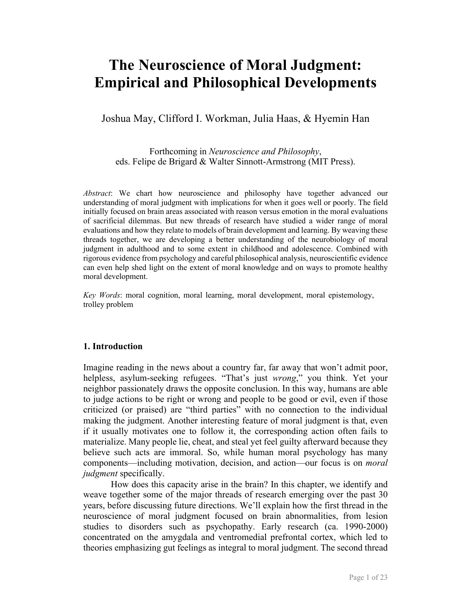# **The Neuroscience of Moral Judgment: Empirical and Philosophical Developments**

Joshua May, Clifford I. Workman, Julia Haas, & Hyemin Han

Forthcoming in *Neuroscience and Philosophy*, eds. Felipe de Brigard & Walter Sinnott-Armstrong (MIT Press).

*Abstract*: We chart how neuroscience and philosophy have together advanced our understanding of moral judgment with implications for when it goes well or poorly. The field initially focused on brain areas associated with reason versus emotion in the moral evaluations of sacrificial dilemmas. But new threads of research have studied a wider range of moral evaluations and how they relate to models of brain development and learning. By weaving these threads together, we are developing a better understanding of the neurobiology of moral judgment in adulthood and to some extent in childhood and adolescence. Combined with rigorous evidence from psychology and careful philosophical analysis, neuroscientific evidence can even help shed light on the extent of moral knowledge and on ways to promote healthy moral development.

*Key Words*: moral cognition, moral learning, moral development, moral epistemology, trolley problem

## **1. Introduction**

Imagine reading in the news about a country far, far away that won't admit poor, helpless, asylum-seeking refugees. "That's just *wrong*," you think. Yet your neighbor passionately draws the opposite conclusion. In this way, humans are able to judge actions to be right or wrong and people to be good or evil, even if those criticized (or praised) are "third parties" with no connection to the individual making the judgment. Another interesting feature of moral judgment is that, even if it usually motivates one to follow it, the corresponding action often fails to materialize. Many people lie, cheat, and steal yet feel guilty afterward because they believe such acts are immoral. So, while human moral psychology has many components—including motivation, decision, and action—our focus is on *moral judgment* specifically.

How does this capacity arise in the brain? In this chapter, we identify and weave together some of the major threads of research emerging over the past 30 years, before discussing future directions. We'll explain how the first thread in the neuroscience of moral judgment focused on brain abnormalities, from lesion studies to disorders such as psychopathy. Early research (ca. 1990-2000) concentrated on the amygdala and ventromedial prefrontal cortex, which led to theories emphasizing gut feelings as integral to moral judgment. The second thread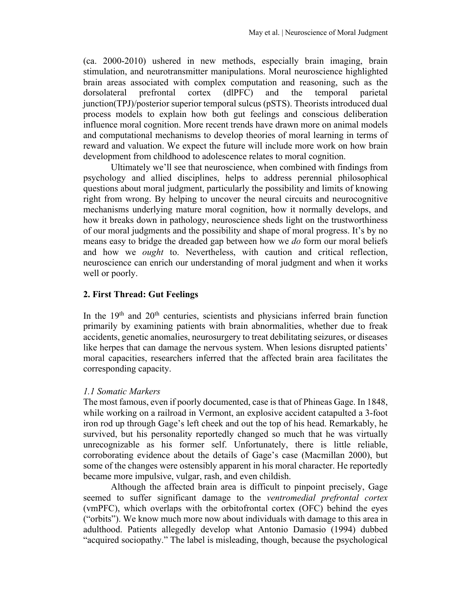(ca. 2000-2010) ushered in new methods, especially brain imaging, brain stimulation, and neurotransmitter manipulations. Moral neuroscience highlighted brain areas associated with complex computation and reasoning, such as the dorsolateral prefrontal cortex (dlPFC) and the temporal parietal junction(TPJ)/posterior superior temporal sulcus (pSTS). Theorists introduced dual process models to explain how both gut feelings and conscious deliberation influence moral cognition. More recent trends have drawn more on animal models and computational mechanisms to develop theories of moral learning in terms of reward and valuation. We expect the future will include more work on how brain development from childhood to adolescence relates to moral cognition.

Ultimately we'll see that neuroscience, when combined with findings from psychology and allied disciplines, helps to address perennial philosophical questions about moral judgment, particularly the possibility and limits of knowing right from wrong. By helping to uncover the neural circuits and neurocognitive mechanisms underlying mature moral cognition, how it normally develops, and how it breaks down in pathology, neuroscience sheds light on the trustworthiness of our moral judgments and the possibility and shape of moral progress. It's by no means easy to bridge the dreaded gap between how we *do* form our moral beliefs and how we *ought* to. Nevertheless, with caution and critical reflection, neuroscience can enrich our understanding of moral judgment and when it works well or poorly.

# **2. First Thread: Gut Feelings**

In the  $19<sup>th</sup>$  and  $20<sup>th</sup>$  centuries, scientists and physicians inferred brain function primarily by examining patients with brain abnormalities, whether due to freak accidents, genetic anomalies, neurosurgery to treat debilitating seizures, or diseases like herpes that can damage the nervous system. When lesions disrupted patients' moral capacities, researchers inferred that the affected brain area facilitates the corresponding capacity.

# *1.1 Somatic Markers*

The most famous, even if poorly documented, case is that of Phineas Gage. In 1848, while working on a railroad in Vermont, an explosive accident catapulted a 3-foot iron rod up through Gage's left cheek and out the top of his head. Remarkably, he survived, but his personality reportedly changed so much that he was virtually unrecognizable as his former self. Unfortunately, there is little reliable, corroborating evidence about the details of Gage's case (Macmillan 2000), but some of the changes were ostensibly apparent in his moral character. He reportedly became more impulsive, vulgar, rash, and even childish.

Although the affected brain area is difficult to pinpoint precisely, Gage seemed to suffer significant damage to the *ventromedial prefrontal cortex* (vmPFC), which overlaps with the orbitofrontal cortex (OFC) behind the eyes ("orbits"). We know much more now about individuals with damage to this area in adulthood. Patients allegedly develop what Antonio Damasio (1994) dubbed "acquired sociopathy." The label is misleading, though, because the psychological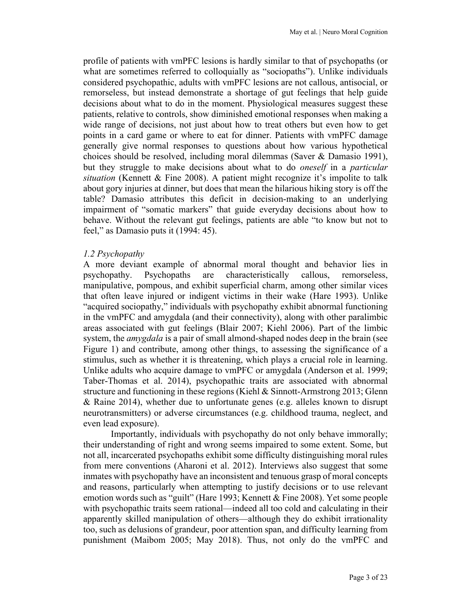profile of patients with vmPFC lesions is hardly similar to that of psychopaths (or what are sometimes referred to colloquially as "sociopaths"). Unlike individuals considered psychopathic, adults with vmPFC lesions are not callous, antisocial, or remorseless, but instead demonstrate a shortage of gut feelings that help guide decisions about what to do in the moment. Physiological measures suggest these patients, relative to controls, show diminished emotional responses when making a wide range of decisions, not just about how to treat others but even how to get points in a card game or where to eat for dinner. Patients with vmPFC damage generally give normal responses to questions about how various hypothetical choices should be resolved, including moral dilemmas (Saver & Damasio 1991), but they struggle to make decisions about what to do *oneself* in a *particular situation* (Kennett & Fine 2008). A patient might recognize it's impolite to talk about gory injuries at dinner, but does that mean the hilarious hiking story is off the table? Damasio attributes this deficit in decision-making to an underlying impairment of "somatic markers" that guide everyday decisions about how to behave. Without the relevant gut feelings, patients are able "to know but not to feel," as Damasio puts it (1994: 45).

#### *1.2 Psychopathy*

A more deviant example of abnormal moral thought and behavior lies in psychopathy. Psychopaths are characteristically callous, remorseless, manipulative, pompous, and exhibit superficial charm, among other similar vices that often leave injured or indigent victims in their wake (Hare 1993). Unlike "acquired sociopathy," individuals with psychopathy exhibit abnormal functioning in the vmPFC and amygdala (and their connectivity), along with other paralimbic areas associated with gut feelings (Blair 2007; Kiehl 2006). Part of the limbic system, the *amygdala* is a pair of small almond-shaped nodes deep in the brain (see Figure 1) and contribute, among other things, to assessing the significance of a stimulus, such as whether it is threatening, which plays a crucial role in learning. Unlike adults who acquire damage to vmPFC or amygdala (Anderson et al. 1999; Taber-Thomas et al. 2014), psychopathic traits are associated with abnormal structure and functioning in these regions (Kiehl & Sinnott-Armstrong 2013; Glenn & Raine 2014), whether due to unfortunate genes (e.g. alleles known to disrupt neurotransmitters) or adverse circumstances (e.g. childhood trauma, neglect, and even lead exposure).

Importantly, individuals with psychopathy do not only behave immorally; their understanding of right and wrong seems impaired to some extent. Some, but not all, incarcerated psychopaths exhibit some difficulty distinguishing moral rules from mere conventions (Aharoni et al. 2012). Interviews also suggest that some inmates with psychopathy have an inconsistent and tenuous grasp of moral concepts and reasons, particularly when attempting to justify decisions or to use relevant emotion words such as "guilt" (Hare 1993; Kennett & Fine 2008). Yet some people with psychopathic traits seem rational—indeed all too cold and calculating in their apparently skilled manipulation of others—although they do exhibit irrationality too, such as delusions of grandeur, poor attention span, and difficulty learning from punishment (Maibom 2005; May 2018). Thus, not only do the vmPFC and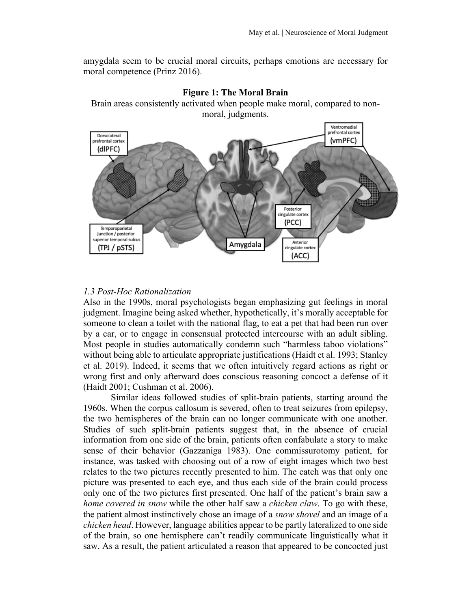amygdala seem to be crucial moral circuits, perhaps emotions are necessary for moral competence (Prinz 2016).





## *1.3 Post-Hoc Rationalization*

Also in the 1990s, moral psychologists began emphasizing gut feelings in moral judgment. Imagine being asked whether, hypothetically, it's morally acceptable for someone to clean a toilet with the national flag, to eat a pet that had been run over by a car, or to engage in consensual protected intercourse with an adult sibling. Most people in studies automatically condemn such "harmless taboo violations" without being able to articulate appropriate justifications (Haidt et al. 1993; Stanley et al. 2019). Indeed, it seems that we often intuitively regard actions as right or wrong first and only afterward does conscious reasoning concoct a defense of it (Haidt 2001; Cushman et al. 2006).

Similar ideas followed studies of split-brain patients, starting around the 1960s. When the corpus callosum is severed, often to treat seizures from epilepsy, the two hemispheres of the brain can no longer communicate with one another. Studies of such split-brain patients suggest that, in the absence of crucial information from one side of the brain, patients often confabulate a story to make sense of their behavior (Gazzaniga 1983). One commissurotomy patient, for instance, was tasked with choosing out of a row of eight images which two best relates to the two pictures recently presented to him. The catch was that only one picture was presented to each eye, and thus each side of the brain could process only one of the two pictures first presented. One half of the patient's brain saw a *home covered in snow* while the other half saw a *chicken claw*. To go with these, the patient almost instinctively chose an image of a *snow shovel* and an image of a *chicken head*. However, language abilities appear to be partly lateralized to one side of the brain, so one hemisphere can't readily communicate linguistically what it saw. As a result, the patient articulated a reason that appeared to be concocted just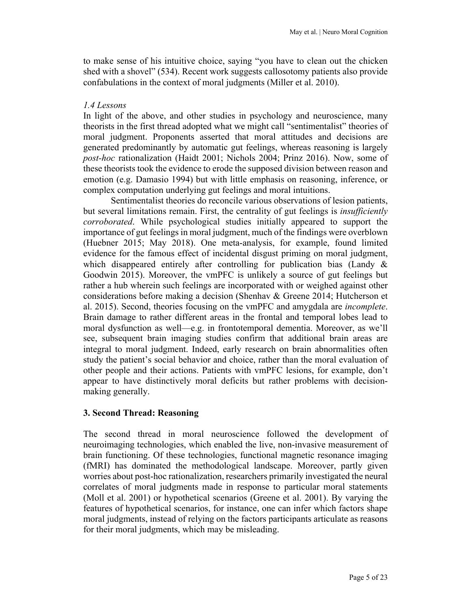to make sense of his intuitive choice, saying "you have to clean out the chicken shed with a shovel" (534). Recent work suggests callosotomy patients also provide confabulations in the context of moral judgments (Miller et al. 2010).

#### *1.4 Lessons*

In light of the above, and other studies in psychology and neuroscience, many theorists in the first thread adopted what we might call "sentimentalist" theories of moral judgment. Proponents asserted that moral attitudes and decisions are generated predominantly by automatic gut feelings, whereas reasoning is largely *post-hoc* rationalization (Haidt 2001; Nichols 2004; Prinz 2016). Now, some of these theorists took the evidence to erode the supposed division between reason and emotion (e.g. Damasio 1994) but with little emphasis on reasoning, inference, or complex computation underlying gut feelings and moral intuitions.

Sentimentalist theories do reconcile various observations of lesion patients, but several limitations remain. First, the centrality of gut feelings is *insufficiently corroborated*. While psychological studies initially appeared to support the importance of gut feelings in moral judgment, much of the findings were overblown (Huebner 2015; May 2018). One meta-analysis, for example, found limited evidence for the famous effect of incidental disgust priming on moral judgment, which disappeared entirely after controlling for publication bias (Landy & Goodwin 2015). Moreover, the vmPFC is unlikely a source of gut feelings but rather a hub wherein such feelings are incorporated with or weighed against other considerations before making a decision (Shenhav & Greene 2014; Hutcherson et al. 2015). Second, theories focusing on the vmPFC and amygdala are *incomplete*. Brain damage to rather different areas in the frontal and temporal lobes lead to moral dysfunction as well—e.g. in frontotemporal dementia. Moreover, as we'll see, subsequent brain imaging studies confirm that additional brain areas are integral to moral judgment. Indeed, early research on brain abnormalities often study the patient's social behavior and choice, rather than the moral evaluation of other people and their actions. Patients with vmPFC lesions, for example, don't appear to have distinctively moral deficits but rather problems with decisionmaking generally.

#### **3. Second Thread: Reasoning**

The second thread in moral neuroscience followed the development of neuroimaging technologies, which enabled the live, non-invasive measurement of brain functioning. Of these technologies, functional magnetic resonance imaging (fMRI) has dominated the methodological landscape. Moreover, partly given worries about post-hoc rationalization, researchers primarily investigated the neural correlates of moral judgments made in response to particular moral statements (Moll et al. 2001) or hypothetical scenarios (Greene et al. 2001). By varying the features of hypothetical scenarios, for instance, one can infer which factors shape moral judgments, instead of relying on the factors participants articulate as reasons for their moral judgments, which may be misleading.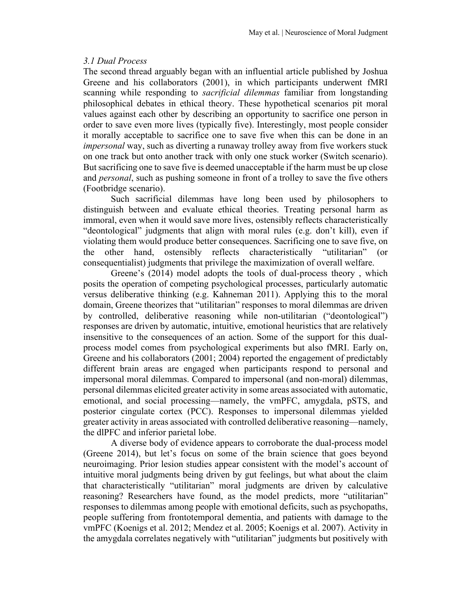## *3.1 Dual Process*

The second thread arguably began with an influential article published by Joshua Greene and his collaborators (2001), in which participants underwent fMRI scanning while responding to *sacrificial dilemmas* familiar from longstanding philosophical debates in ethical theory. These hypothetical scenarios pit moral values against each other by describing an opportunity to sacrifice one person in order to save even more lives (typically five). Interestingly, most people consider it morally acceptable to sacrifice one to save five when this can be done in an *impersonal* way, such as diverting a runaway trolley away from five workers stuck on one track but onto another track with only one stuck worker (Switch scenario). But sacrificing one to save five is deemed unacceptable if the harm must be up close and *personal*, such as pushing someone in front of a trolley to save the five others (Footbridge scenario).

Such sacrificial dilemmas have long been used by philosophers to distinguish between and evaluate ethical theories. Treating personal harm as immoral, even when it would save more lives, ostensibly reflects characteristically "deontological" judgments that align with moral rules (e.g. don't kill), even if violating them would produce better consequences. Sacrificing one to save five, on the other hand, ostensibly reflects characteristically "utilitarian" (or consequentialist) judgments that privilege the maximization of overall welfare.

Greene's (2014) model adopts the tools of dual-process theory , which posits the operation of competing psychological processes, particularly automatic versus deliberative thinking (e.g. Kahneman 2011). Applying this to the moral domain, Greene theorizes that "utilitarian" responses to moral dilemmas are driven by controlled, deliberative reasoning while non-utilitarian ("deontological") responses are driven by automatic, intuitive, emotional heuristics that are relatively insensitive to the consequences of an action. Some of the support for this dualprocess model comes from psychological experiments but also fMRI. Early on, Greene and his collaborators (2001; 2004) reported the engagement of predictably different brain areas are engaged when participants respond to personal and impersonal moral dilemmas. Compared to impersonal (and non-moral) dilemmas, personal dilemmas elicited greater activity in some areas associated with automatic, emotional, and social processing—namely, the vmPFC, amygdala, pSTS, and posterior cingulate cortex (PCC). Responses to impersonal dilemmas yielded greater activity in areas associated with controlled deliberative reasoning—namely, the dlPFC and inferior parietal lobe.

A diverse body of evidence appears to corroborate the dual-process model (Greene 2014), but let's focus on some of the brain science that goes beyond neuroimaging. Prior lesion studies appear consistent with the model's account of intuitive moral judgments being driven by gut feelings, but what about the claim that characteristically "utilitarian" moral judgments are driven by calculative reasoning? Researchers have found, as the model predicts, more "utilitarian" responses to dilemmas among people with emotional deficits, such as psychopaths, people suffering from frontotemporal dementia, and patients with damage to the vmPFC (Koenigs et al. 2012; Mendez et al. 2005; Koenigs et al. 2007). Activity in the amygdala correlates negatively with "utilitarian" judgments but positively with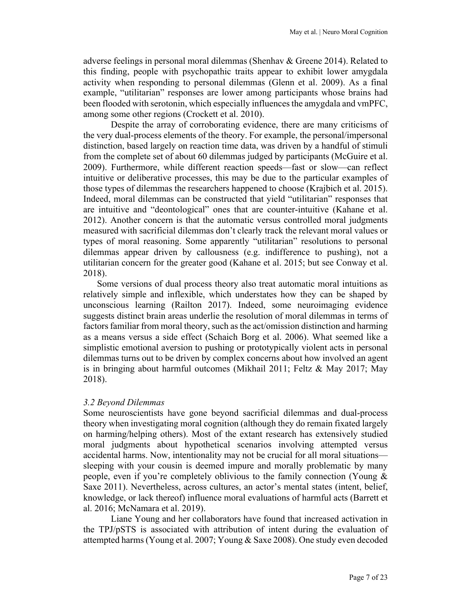adverse feelings in personal moral dilemmas (Shenhav & Greene 2014). Related to this finding, people with psychopathic traits appear to exhibit lower amygdala activity when responding to personal dilemmas (Glenn et al. 2009). As a final example, "utilitarian" responses are lower among participants whose brains had been flooded with serotonin, which especially influences the amygdala and vmPFC, among some other regions (Crockett et al. 2010).

Despite the array of corroborating evidence, there are many criticisms of the very dual-process elements of the theory. For example, the personal/impersonal distinction, based largely on reaction time data, was driven by a handful of stimuli from the complete set of about 60 dilemmas judged by participants (McGuire et al. 2009). Furthermore, while different reaction speeds—fast or slow—can reflect intuitive or deliberative processes, this may be due to the particular examples of those types of dilemmas the researchers happened to choose (Krajbich et al. 2015). Indeed, moral dilemmas can be constructed that yield "utilitarian" responses that are intuitive and "deontological" ones that are counter-intuitive (Kahane et al. 2012). Another concern is that the automatic versus controlled moral judgments measured with sacrificial dilemmas don't clearly track the relevant moral values or types of moral reasoning. Some apparently "utilitarian" resolutions to personal dilemmas appear driven by callousness (e.g. indifference to pushing), not a utilitarian concern for the greater good (Kahane et al. 2015; but see Conway et al. 2018).

Some versions of dual process theory also treat automatic moral intuitions as relatively simple and inflexible, which understates how they can be shaped by unconscious learning (Railton 2017). Indeed, some neuroimaging evidence suggests distinct brain areas underlie the resolution of moral dilemmas in terms of factors familiar from moral theory, such as the act/omission distinction and harming as a means versus a side effect (Schaich Borg et al. 2006). What seemed like a simplistic emotional aversion to pushing or prototypically violent acts in personal dilemmas turns out to be driven by complex concerns about how involved an agent is in bringing about harmful outcomes (Mikhail 2011; Feltz & May 2017; May 2018).

#### *3.2 Beyond Dilemmas*

Some neuroscientists have gone beyond sacrificial dilemmas and dual-process theory when investigating moral cognition (although they do remain fixated largely on harming/helping others). Most of the extant research has extensively studied moral judgments about hypothetical scenarios involving attempted versus accidental harms. Now, intentionality may not be crucial for all moral situations sleeping with your cousin is deemed impure and morally problematic by many people, even if you're completely oblivious to the family connection (Young & Saxe 2011). Nevertheless, across cultures, an actor's mental states (intent, belief, knowledge, or lack thereof) influence moral evaluations of harmful acts (Barrett et al. 2016; McNamara et al. 2019).

Liane Young and her collaborators have found that increased activation in the TPJ/pSTS is associated with attribution of intent during the evaluation of attempted harms(Young et al. 2007; Young & Saxe 2008). One study even decoded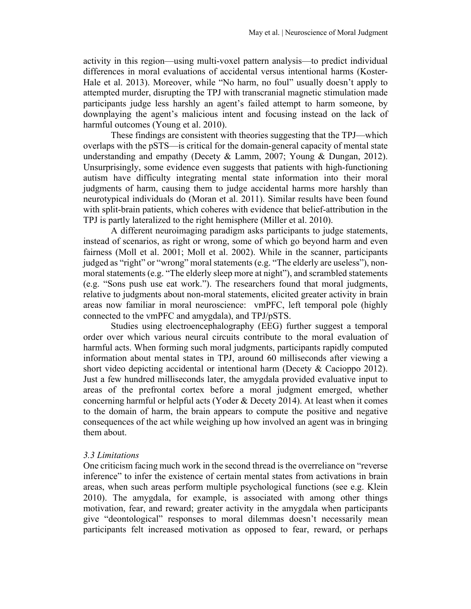activity in this region—using multi-voxel pattern analysis—to predict individual differences in moral evaluations of accidental versus intentional harms (Koster-Hale et al. 2013). Moreover, while "No harm, no foul" usually doesn't apply to attempted murder, disrupting the TPJ with transcranial magnetic stimulation made participants judge less harshly an agent's failed attempt to harm someone, by downplaying the agent's malicious intent and focusing instead on the lack of harmful outcomes (Young et al. 2010).

These findings are consistent with theories suggesting that the TPJ—which overlaps with the pSTS—is critical for the domain-general capacity of mental state understanding and empathy (Decety & Lamm, 2007; Young & Dungan, 2012). Unsurprisingly, some evidence even suggests that patients with high-functioning autism have difficulty integrating mental state information into their moral judgments of harm, causing them to judge accidental harms more harshly than neurotypical individuals do (Moran et al. 2011). Similar results have been found with split-brain patients, which coheres with evidence that belief-attribution in the TPJ is partly lateralized to the right hemisphere (Miller et al. 2010).

A different neuroimaging paradigm asks participants to judge statements, instead of scenarios, as right or wrong, some of which go beyond harm and even fairness (Moll et al. 2001; Moll et al. 2002). While in the scanner, participants judged as "right" or "wrong" moral statements (e.g. "The elderly are useless"), nonmoral statements (e.g. "The elderly sleep more at night"), and scrambled statements (e.g. "Sons push use eat work."). The researchers found that moral judgments, relative to judgments about non-moral statements, elicited greater activity in brain areas now familiar in moral neuroscience: vmPFC, left temporal pole (highly connected to the vmPFC and amygdala), and TPJ/pSTS.

Studies using electroencephalography (EEG) further suggest a temporal order over which various neural circuits contribute to the moral evaluation of harmful acts. When forming such moral judgments, participants rapidly computed information about mental states in TPJ, around 60 milliseconds after viewing a short video depicting accidental or intentional harm (Decety & Cacioppo 2012). Just a few hundred milliseconds later, the amygdala provided evaluative input to areas of the prefrontal cortex before a moral judgment emerged, whether concerning harmful or helpful acts (Yoder & Decety 2014). At least when it comes to the domain of harm, the brain appears to compute the positive and negative consequences of the act while weighing up how involved an agent was in bringing them about.

## *3.3 Limitations*

One criticism facing much work in the second thread is the overreliance on "reverse inference" to infer the existence of certain mental states from activations in brain areas, when such areas perform multiple psychological functions (see e.g. Klein 2010). The amygdala, for example, is associated with among other things motivation, fear, and reward; greater activity in the amygdala when participants give "deontological" responses to moral dilemmas doesn't necessarily mean participants felt increased motivation as opposed to fear, reward, or perhaps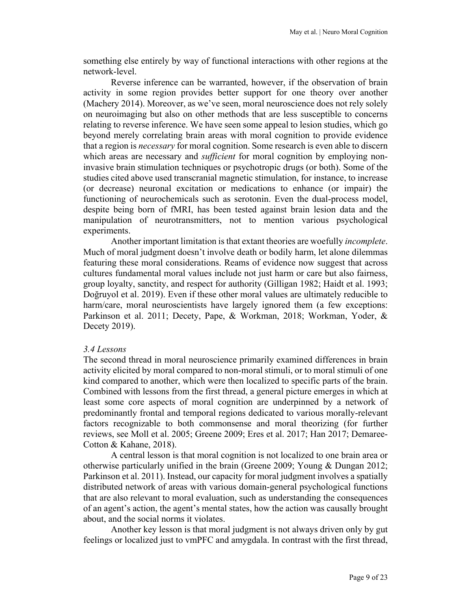something else entirely by way of functional interactions with other regions at the network-level.

Reverse inference can be warranted, however, if the observation of brain activity in some region provides better support for one theory over another (Machery 2014). Moreover, as we've seen, moral neuroscience does not rely solely on neuroimaging but also on other methods that are less susceptible to concerns relating to reverse inference. We have seen some appeal to lesion studies, which go beyond merely correlating brain areas with moral cognition to provide evidence that a region is *necessary* for moral cognition. Some research is even able to discern which areas are necessary and *sufficient* for moral cognition by employing noninvasive brain stimulation techniques or psychotropic drugs (or both). Some of the studies cited above used transcranial magnetic stimulation, for instance, to increase (or decrease) neuronal excitation or medications to enhance (or impair) the functioning of neurochemicals such as serotonin. Even the dual-process model, despite being born of fMRI, has been tested against brain lesion data and the manipulation of neurotransmitters, not to mention various psychological experiments.

Another important limitation is that extant theories are woefully *incomplete*. Much of moral judgment doesn't involve death or bodily harm, let alone dilemmas featuring these moral considerations. Reams of evidence now suggest that across cultures fundamental moral values include not just harm or care but also fairness, group loyalty, sanctity, and respect for authority (Gilligan 1982; Haidt et al. 1993; Doğruyol et al. 2019). Even if these other moral values are ultimately reducible to harm/care, moral neuroscientists have largely ignored them (a few exceptions: Parkinson et al. 2011; Decety, Pape, & Workman, 2018; Workman, Yoder, & Decety 2019).

#### *3.4 Lessons*

The second thread in moral neuroscience primarily examined differences in brain activity elicited by moral compared to non-moral stimuli, or to moral stimuli of one kind compared to another, which were then localized to specific parts of the brain. Combined with lessons from the first thread, a general picture emerges in which at least some core aspects of moral cognition are underpinned by a network of predominantly frontal and temporal regions dedicated to various morally-relevant factors recognizable to both commonsense and moral theorizing (for further reviews, see Moll et al. 2005; Greene 2009; Eres et al. 2017; Han 2017; Demaree-Cotton & Kahane, 2018).

A central lesson is that moral cognition is not localized to one brain area or otherwise particularly unified in the brain (Greene 2009; Young & Dungan 2012; Parkinson et al. 2011). Instead, our capacity for moral judgment involves a spatially distributed network of areas with various domain-general psychological functions that are also relevant to moral evaluation, such as understanding the consequences of an agent's action, the agent's mental states, how the action was causally brought about, and the social norms it violates.

Another key lesson is that moral judgment is not always driven only by gut feelings or localized just to vmPFC and amygdala. In contrast with the first thread,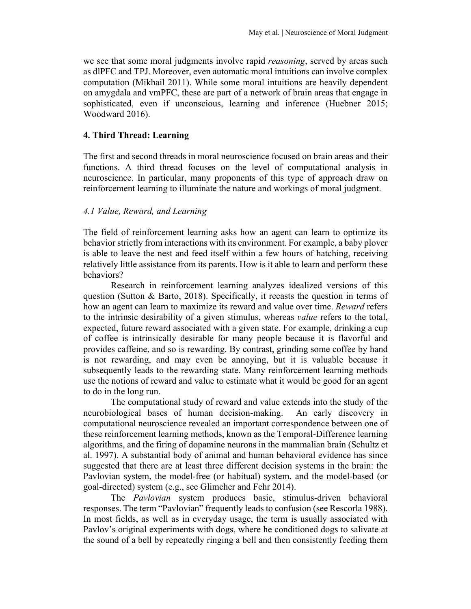we see that some moral judgments involve rapid *reasoning*, served by areas such as dlPFC and TPJ. Moreover, even automatic moral intuitions can involve complex computation (Mikhail 2011). While some moral intuitions are heavily dependent on amygdala and vmPFC, these are part of a network of brain areas that engage in sophisticated, even if unconscious, learning and inference (Huebner 2015; Woodward 2016).

## **4. Third Thread: Learning**

The first and second threads in moral neuroscience focused on brain areas and their functions. A third thread focuses on the level of computational analysis in neuroscience. In particular, many proponents of this type of approach draw on reinforcement learning to illuminate the nature and workings of moral judgment.

## *4.1 Value, Reward, and Learning*

The field of reinforcement learning asks how an agent can learn to optimize its behavior strictly from interactions with its environment. For example, a baby plover is able to leave the nest and feed itself within a few hours of hatching, receiving relatively little assistance from its parents. How is it able to learn and perform these behaviors?

Research in reinforcement learning analyzes idealized versions of this question (Sutton & Barto, 2018). Specifically, it recasts the question in terms of how an agent can learn to maximize its reward and value over time. *Reward* refers to the intrinsic desirability of a given stimulus, whereas *value* refers to the total, expected, future reward associated with a given state. For example, drinking a cup of coffee is intrinsically desirable for many people because it is flavorful and provides caffeine, and so is rewarding. By contrast, grinding some coffee by hand is not rewarding, and may even be annoying, but it is valuable because it subsequently leads to the rewarding state. Many reinforcement learning methods use the notions of reward and value to estimate what it would be good for an agent to do in the long run.

The computational study of reward and value extends into the study of the neurobiological bases of human decision-making. An early discovery in computational neuroscience revealed an important correspondence between one of these reinforcement learning methods, known as the Temporal-Difference learning algorithms, and the firing of dopamine neurons in the mammalian brain (Schultz et al. 1997). A substantial body of animal and human behavioral evidence has since suggested that there are at least three different decision systems in the brain: the Pavlovian system, the model-free (or habitual) system, and the model-based (or goal-directed) system (e.g., see Glimcher and Fehr 2014).

The *Pavlovian* system produces basic, stimulus-driven behavioral responses. The term "Pavlovian" frequently leads to confusion (see Rescorla 1988). In most fields, as well as in everyday usage, the term is usually associated with Pavlov's original experiments with dogs, where he conditioned dogs to salivate at the sound of a bell by repeatedly ringing a bell and then consistently feeding them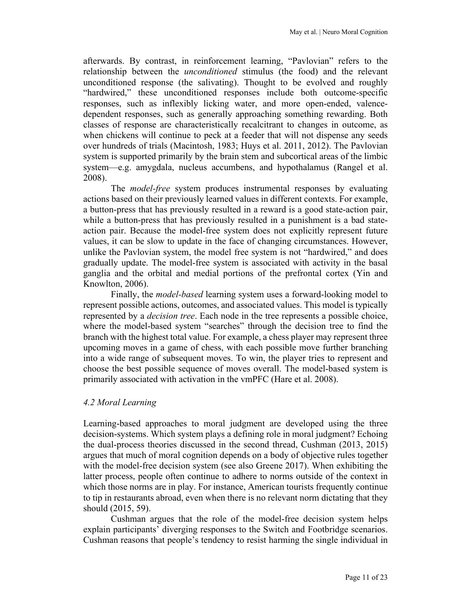afterwards. By contrast, in reinforcement learning, "Pavlovian" refers to the relationship between the *unconditioned* stimulus (the food) and the relevant unconditioned response (the salivating). Thought to be evolved and roughly "hardwired," these unconditioned responses include both outcome-specific responses, such as inflexibly licking water, and more open-ended, valencedependent responses, such as generally approaching something rewarding. Both classes of response are characteristically recalcitrant to changes in outcome, as when chickens will continue to peck at a feeder that will not dispense any seeds over hundreds of trials (Macintosh, 1983; Huys et al. 2011, 2012). The Pavlovian system is supported primarily by the brain stem and subcortical areas of the limbic system—e.g. amygdala, nucleus accumbens, and hypothalamus (Rangel et al. 2008).

The *model-free* system produces instrumental responses by evaluating actions based on their previously learned values in different contexts. For example, a button-press that has previously resulted in a reward is a good state-action pair, while a button-press that has previously resulted in a punishment is a bad stateaction pair. Because the model-free system does not explicitly represent future values, it can be slow to update in the face of changing circumstances. However, unlike the Pavlovian system, the model free system is not "hardwired," and does gradually update. The model-free system is associated with activity in the basal ganglia and the orbital and medial portions of the prefrontal cortex (Yin and Knowlton, 2006).

Finally, the *model-based* learning system uses a forward-looking model to represent possible actions, outcomes, and associated values. This model is typically represented by a *decision tree*. Each node in the tree represents a possible choice, where the model-based system "searches" through the decision tree to find the branch with the highest total value. For example, a chess player may represent three upcoming moves in a game of chess, with each possible move further branching into a wide range of subsequent moves. To win, the player tries to represent and choose the best possible sequence of moves overall. The model-based system is primarily associated with activation in the vmPFC (Hare et al. 2008).

## *4.2 Moral Learning*

Learning-based approaches to moral judgment are developed using the three decision-systems. Which system plays a defining role in moral judgment? Echoing the dual-process theories discussed in the second thread, Cushman (2013, 2015) argues that much of moral cognition depends on a body of objective rules together with the model-free decision system (see also Greene 2017). When exhibiting the latter process, people often continue to adhere to norms outside of the context in which those norms are in play. For instance, American tourists frequently continue to tip in restaurants abroad, even when there is no relevant norm dictating that they should (2015, 59).

Cushman argues that the role of the model-free decision system helps explain participants' diverging responses to the Switch and Footbridge scenarios. Cushman reasons that people's tendency to resist harming the single individual in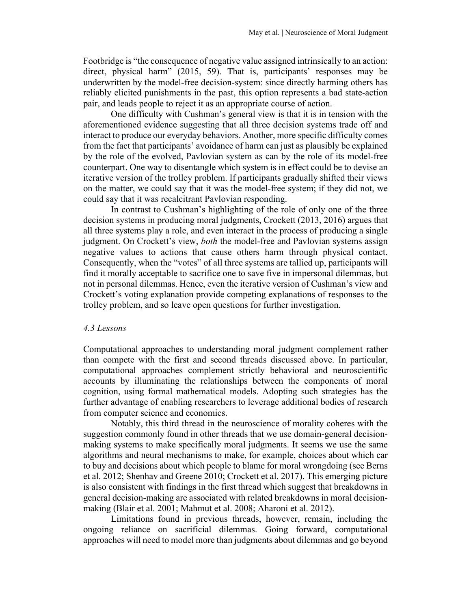Footbridge is "the consequence of negative value assigned intrinsically to an action: direct, physical harm" (2015, 59). That is, participants' responses may be underwritten by the model-free decision-system: since directly harming others has reliably elicited punishments in the past, this option represents a bad state-action pair, and leads people to reject it as an appropriate course of action.

One difficulty with Cushman's general view is that it is in tension with the aforementioned evidence suggesting that all three decision systems trade off and interact to produce our everyday behaviors. Another, more specific difficulty comes from the fact that participants' avoidance of harm can just as plausibly be explained by the role of the evolved, Pavlovian system as can by the role of its model-free counterpart. One way to disentangle which system is in effect could be to devise an iterative version of the trolley problem. If participants gradually shifted their views on the matter, we could say that it was the model-free system; if they did not, we could say that it was recalcitrant Pavlovian responding.

In contrast to Cushman's highlighting of the role of only one of the three decision systems in producing moral judgments, Crockett (2013, 2016) argues that all three systems play a role, and even interact in the process of producing a single judgment. On Crockett's view, *both* the model-free and Pavlovian systems assign negative values to actions that cause others harm through physical contact. Consequently, when the "votes" of all three systems are tallied up, participants will find it morally acceptable to sacrifice one to save five in impersonal dilemmas, but not in personal dilemmas. Hence, even the iterative version of Cushman's view and Crockett's voting explanation provide competing explanations of responses to the trolley problem, and so leave open questions for further investigation.

## *4.3 Lessons*

Computational approaches to understanding moral judgment complement rather than compete with the first and second threads discussed above. In particular, computational approaches complement strictly behavioral and neuroscientific accounts by illuminating the relationships between the components of moral cognition, using formal mathematical models. Adopting such strategies has the further advantage of enabling researchers to leverage additional bodies of research from computer science and economics.

Notably, this third thread in the neuroscience of morality coheres with the suggestion commonly found in other threads that we use domain-general decisionmaking systems to make specifically moral judgments. It seems we use the same algorithms and neural mechanisms to make, for example, choices about which car to buy and decisions about which people to blame for moral wrongdoing (see Berns et al. 2012; Shenhav and Greene 2010; Crockett et al. 2017). This emerging picture is also consistent with findings in the first thread which suggest that breakdowns in general decision-making are associated with related breakdowns in moral decisionmaking (Blair et al. 2001; Mahmut et al. 2008; Aharoni et al. 2012).

Limitations found in previous threads, however, remain, including the ongoing reliance on sacrificial dilemmas. Going forward, computational approaches will need to model more than judgments about dilemmas and go beyond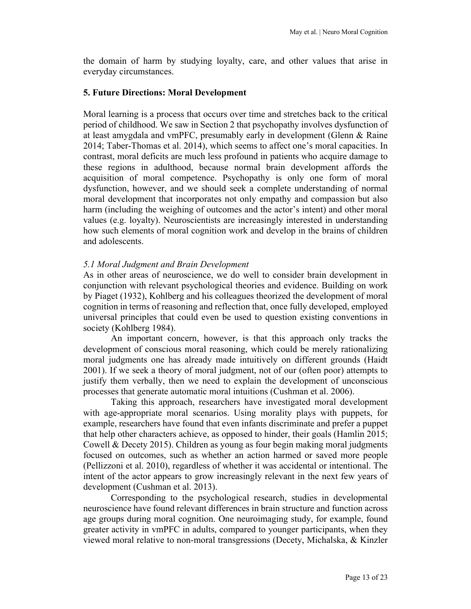the domain of harm by studying loyalty, care, and other values that arise in everyday circumstances.

#### **5. Future Directions: Moral Development**

Moral learning is a process that occurs over time and stretches back to the critical period of childhood. We saw in Section 2 that psychopathy involves dysfunction of at least amygdala and vmPFC, presumably early in development (Glenn & Raine 2014; Taber-Thomas et al. 2014), which seems to affect one's moral capacities. In contrast, moral deficits are much less profound in patients who acquire damage to these regions in adulthood, because normal brain development affords the acquisition of moral competence. Psychopathy is only one form of moral dysfunction, however, and we should seek a complete understanding of normal moral development that incorporates not only empathy and compassion but also harm (including the weighing of outcomes and the actor's intent) and other moral values (e.g. loyalty). Neuroscientists are increasingly interested in understanding how such elements of moral cognition work and develop in the brains of children and adolescents.

#### *5.1 Moral Judgment and Brain Development*

As in other areas of neuroscience, we do well to consider brain development in conjunction with relevant psychological theories and evidence. Building on work by Piaget (1932), Kohlberg and his colleagues theorized the development of moral cognition in terms of reasoning and reflection that, once fully developed, employed universal principles that could even be used to question existing conventions in society (Kohlberg 1984).

An important concern, however, is that this approach only tracks the development of conscious moral reasoning, which could be merely rationalizing moral judgments one has already made intuitively on different grounds (Haidt 2001). If we seek a theory of moral judgment, not of our (often poor) attempts to justify them verbally, then we need to explain the development of unconscious processes that generate automatic moral intuitions (Cushman et al. 2006).

Taking this approach, researchers have investigated moral development with age-appropriate moral scenarios. Using morality plays with puppets, for example, researchers have found that even infants discriminate and prefer a puppet that help other characters achieve, as opposed to hinder, their goals (Hamlin 2015; Cowell & Decety 2015). Children as young as four begin making moral judgments focused on outcomes, such as whether an action harmed or saved more people (Pellizzoni et al. 2010), regardless of whether it was accidental or intentional. The intent of the actor appears to grow increasingly relevant in the next few years of development (Cushman et al. 2013).

Corresponding to the psychological research, studies in developmental neuroscience have found relevant differences in brain structure and function across age groups during moral cognition. One neuroimaging study, for example, found greater activity in vmPFC in adults, compared to younger participants, when they viewed moral relative to non-moral transgressions (Decety, Michalska, & Kinzler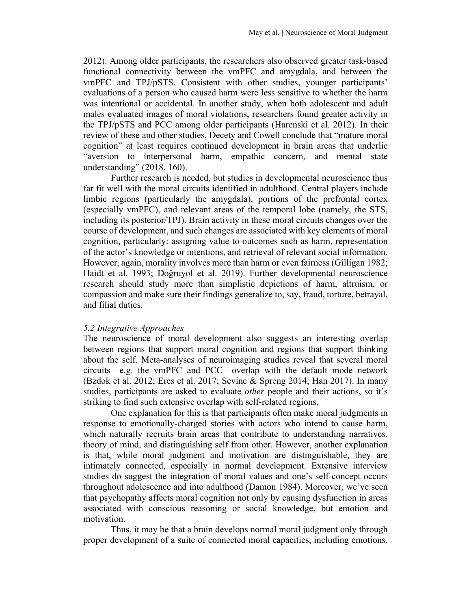2012). Among older participants, the researchers also observed greater task-based functional connectivity between the vmPFC and amygdala, and between the vmPFC and TPJ/pSTS. Consistent with other studies, younger participants' evaluations of a person who caused harm were less sensitive to whether the harm was intentional or accidental. In another study, when both adolescent and adult males evaluated images of moral violations, researchers found greater activity in the TPJ/pSTS and PCC among older participants (Harenski et al. 2012). In their review of these and other studies, Decety and Cowell conclude that "mature moral cognition" at least requires continued development in brain areas that underlie "aversion to interpersonal harm, empathic concern, and mental state understanding" (2018, 160).

Further research is needed, but studies in developmental neuroscience thus far fit well with the moral circuits identified in adulthood. Central players include limbic regions (particularly the amygdala), portions of the prefrontal cortex (especially vmPFC), and relevant areas of the temporal lobe (namely, the STS, including its posterior/TPJ). Brain activity in these moral circuits changes over the course of development, and such changes are associated with key elements of moral cognition, particularly: assigning value to outcomes such as harm, representation of the actor's knowledge or intentions, and retrieval of relevant social information. However, again, morality involves more than harm or even fairness (Gilligan 1982; Haidt et al. 1993; Doğruyol et al. 2019). Further developmental neuroscience research should study more than simplistic depictions of harm, altruism, or compassion and make sure their findings generalize to, say, fraud, torture, betrayal, and filial duties.

#### *5.2 Integrative Approaches*

The neuroscience of moral development also suggests an interesting overlap between regions that support moral cognition and regions that support thinking about the self. Meta-analyses of neuroimaging studies reveal that several moral circuits—e.g. the vmPFC and PCC—overlap with the default mode network (Bzdok et al. 2012; Eres et al. 2017; Sevinc & Spreng 2014; Han 2017). In many studies, participants are asked to evaluate *other* people and their actions, so it's striking to find such extensive overlap with self-related regions.

One explanation for this is that participants often make moral judgments in response to emotionally-charged stories with actors who intend to cause harm, which naturally recruits brain areas that contribute to understanding narratives, theory of mind, and distinguishing self from other. However, another explanation is that, while moral judgment and motivation are distinguishable, they are intimately connected, especially in normal development. Extensive interview studies do suggest the integration of moral values and one's self-concept occurs throughout adolescence and into adulthood (Damon 1984). Moreover, we've seen that psychopathy affects moral cognition not only by causing dysfunction in areas associated with conscious reasoning or social knowledge, but emotion and motivation.

Thus, it may be that a brain develops normal moral judgment only through proper development of a suite of connected moral capacities, including emotions,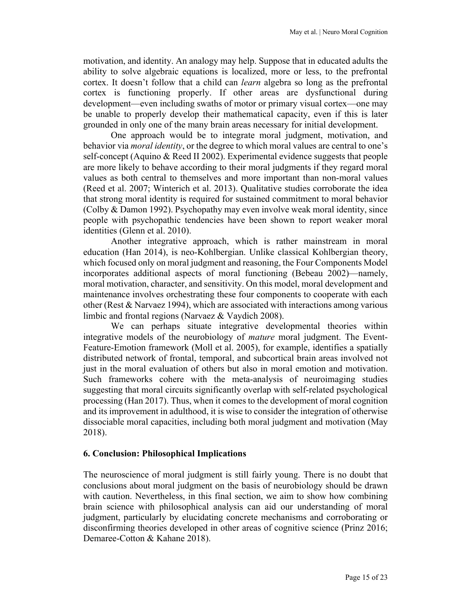motivation, and identity. An analogy may help. Suppose that in educated adults the ability to solve algebraic equations is localized, more or less, to the prefrontal cortex. It doesn't follow that a child can *learn* algebra so long as the prefrontal cortex is functioning properly. If other areas are dysfunctional during development—even including swaths of motor or primary visual cortex—one may be unable to properly develop their mathematical capacity, even if this is later grounded in only one of the many brain areas necessary for initial development.

One approach would be to integrate moral judgment, motivation, and behavior via *moral identity*, or the degree to which moral values are central to one's self-concept (Aquino & Reed II 2002). Experimental evidence suggests that people are more likely to behave according to their moral judgments if they regard moral values as both central to themselves and more important than non-moral values (Reed et al. 2007; Winterich et al. 2013). Qualitative studies corroborate the idea that strong moral identity is required for sustained commitment to moral behavior (Colby & Damon 1992). Psychopathy may even involve weak moral identity, since people with psychopathic tendencies have been shown to report weaker moral identities (Glenn et al. 2010).

Another integrative approach, which is rather mainstream in moral education (Han 2014), is neo-Kohlbergian. Unlike classical Kohlbergian theory, which focused only on moral judgment and reasoning, the Four Components Model incorporates additional aspects of moral functioning (Bebeau 2002)—namely, moral motivation, character, and sensitivity. On this model, moral development and maintenance involves orchestrating these four components to cooperate with each other (Rest  $\&$  Narvaez 1994), which are associated with interactions among various limbic and frontal regions (Narvaez & Vaydich 2008).

We can perhaps situate integrative developmental theories within integrative models of the neurobiology of *mature* moral judgment. The Event-Feature-Emotion framework (Moll et al. 2005), for example, identifies a spatially distributed network of frontal, temporal, and subcortical brain areas involved not just in the moral evaluation of others but also in moral emotion and motivation. Such frameworks cohere with the meta-analysis of neuroimaging studies suggesting that moral circuits significantly overlap with self-related psychological processing (Han 2017). Thus, when it comes to the development of moral cognition and its improvement in adulthood, it is wise to consider the integration of otherwise dissociable moral capacities, including both moral judgment and motivation (May 2018).

## **6. Conclusion: Philosophical Implications**

The neuroscience of moral judgment is still fairly young. There is no doubt that conclusions about moral judgment on the basis of neurobiology should be drawn with caution. Nevertheless, in this final section, we aim to show how combining brain science with philosophical analysis can aid our understanding of moral judgment, particularly by elucidating concrete mechanisms and corroborating or disconfirming theories developed in other areas of cognitive science (Prinz 2016; Demaree-Cotton & Kahane 2018).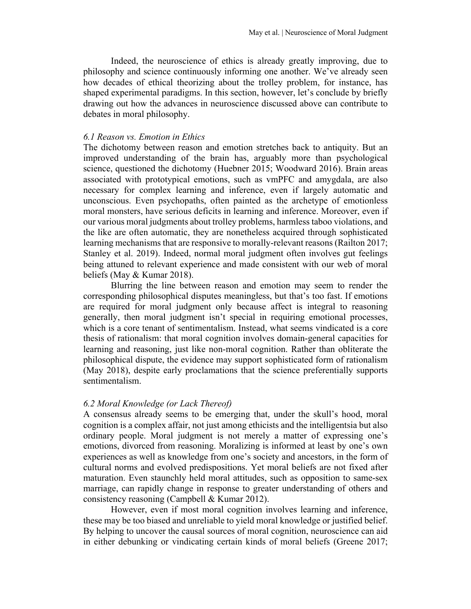Indeed, the neuroscience of ethics is already greatly improving, due to philosophy and science continuously informing one another. We've already seen how decades of ethical theorizing about the trolley problem, for instance, has shaped experimental paradigms. In this section, however, let's conclude by briefly drawing out how the advances in neuroscience discussed above can contribute to debates in moral philosophy.

## *6.1 Reason vs. Emotion in Ethics*

The dichotomy between reason and emotion stretches back to antiquity. But an improved understanding of the brain has, arguably more than psychological science, questioned the dichotomy (Huebner 2015; Woodward 2016). Brain areas associated with prototypical emotions, such as vmPFC and amygdala, are also necessary for complex learning and inference, even if largely automatic and unconscious. Even psychopaths, often painted as the archetype of emotionless moral monsters, have serious deficits in learning and inference. Moreover, even if our various moral judgments about trolley problems, harmless taboo violations, and the like are often automatic, they are nonetheless acquired through sophisticated learning mechanisms that are responsive to morally-relevant reasons (Railton 2017; Stanley et al. 2019). Indeed, normal moral judgment often involves gut feelings being attuned to relevant experience and made consistent with our web of moral beliefs (May & Kumar 2018).

Blurring the line between reason and emotion may seem to render the corresponding philosophical disputes meaningless, but that's too fast. If emotions are required for moral judgment only because affect is integral to reasoning generally, then moral judgment isn't special in requiring emotional processes, which is a core tenant of sentimentalism. Instead, what seems vindicated is a core thesis of rationalism: that moral cognition involves domain-general capacities for learning and reasoning, just like non-moral cognition. Rather than obliterate the philosophical dispute, the evidence may support sophisticated form of rationalism (May 2018), despite early proclamations that the science preferentially supports sentimentalism.

## *6.2 Moral Knowledge (or Lack Thereof)*

A consensus already seems to be emerging that, under the skull's hood, moral cognition is a complex affair, not just among ethicists and the intelligentsia but also ordinary people. Moral judgment is not merely a matter of expressing one's emotions, divorced from reasoning. Moralizing is informed at least by one's own experiences as well as knowledge from one's society and ancestors, in the form of cultural norms and evolved predispositions. Yet moral beliefs are not fixed after maturation. Even staunchly held moral attitudes, such as opposition to same-sex marriage, can rapidly change in response to greater understanding of others and consistency reasoning (Campbell & Kumar 2012).

However, even if most moral cognition involves learning and inference, these may be too biased and unreliable to yield moral knowledge or justified belief. By helping to uncover the causal sources of moral cognition, neuroscience can aid in either debunking or vindicating certain kinds of moral beliefs (Greene 2017;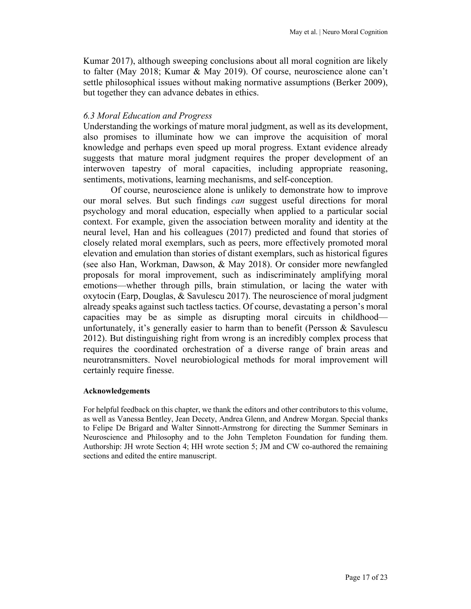Kumar 2017), although sweeping conclusions about all moral cognition are likely to falter (May 2018; Kumar & May 2019). Of course, neuroscience alone can't settle philosophical issues without making normative assumptions (Berker 2009), but together they can advance debates in ethics.

#### *6.3 Moral Education and Progress*

Understanding the workings of mature moral judgment, as well as its development, also promises to illuminate how we can improve the acquisition of moral knowledge and perhaps even speed up moral progress. Extant evidence already suggests that mature moral judgment requires the proper development of an interwoven tapestry of moral capacities, including appropriate reasoning, sentiments, motivations, learning mechanisms, and self-conception.

Of course, neuroscience alone is unlikely to demonstrate how to improve our moral selves. But such findings *can* suggest useful directions for moral psychology and moral education, especially when applied to a particular social context. For example, given the association between morality and identity at the neural level, Han and his colleagues (2017) predicted and found that stories of closely related moral exemplars, such as peers, more effectively promoted moral elevation and emulation than stories of distant exemplars, such as historical figures (see also Han, Workman, Dawson, & May 2018). Or consider more newfangled proposals for moral improvement, such as indiscriminately amplifying moral emotions—whether through pills, brain stimulation, or lacing the water with oxytocin (Earp, Douglas, & Savulescu 2017). The neuroscience of moral judgment already speaks against such tactless tactics. Of course, devastating a person's moral capacities may be as simple as disrupting moral circuits in childhood unfortunately, it's generally easier to harm than to benefit (Persson  $\&$  Savulescu 2012). But distinguishing right from wrong is an incredibly complex process that requires the coordinated orchestration of a diverse range of brain areas and neurotransmitters. Novel neurobiological methods for moral improvement will certainly require finesse.

#### **Acknowledgements**

For helpful feedback on this chapter, we thank the editors and other contributors to this volume, as well as Vanessa Bentley, Jean Decety, Andrea Glenn, and Andrew Morgan. Special thanks to Felipe De Brigard and Walter Sinnott-Armstrong for directing the Summer Seminars in Neuroscience and Philosophy and to the John Templeton Foundation for funding them. Authorship: JH wrote Section 4; HH wrote section 5; JM and CW co-authored the remaining sections and edited the entire manuscript.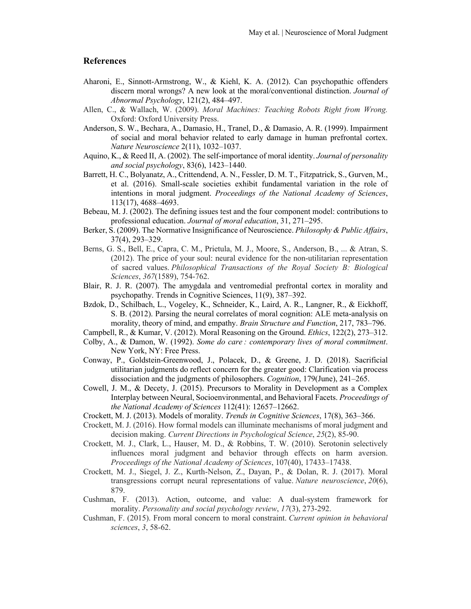#### **References**

- Aharoni, E., Sinnott-Armstrong, W., & Kiehl, K. A. (2012). Can psychopathic offenders discern moral wrongs? A new look at the moral/conventional distinction. *Journal of Abnormal Psychology*, 121(2), 484–497.
- Allen, C., & Wallach, W. (2009). *Moral Machines: Teaching Robots Right from Wrong.* Oxford: Oxford University Press.
- Anderson, S. W., Bechara, A., Damasio, H., Tranel, D., & Damasio, A. R. (1999). Impairment of social and moral behavior related to early damage in human prefrontal cortex. *Nature Neuroscience* 2(11), 1032–1037.
- Aquino, K., & Reed II, A. (2002). The self-importance of moral identity. *Journal of personality and social psychology*, 83(6), 1423–1440.
- Barrett, H. C., Bolyanatz, A., Crittendend, A. N., Fessler, D. M. T., Fitzpatrick, S., Gurven, M., et al. (2016). Small-scale societies exhibit fundamental variation in the role of intentions in moral judgment. *Proceedings of the National Academy of Sciences*, 113(17), 4688–4693.
- Bebeau, M. J. (2002). The defining issues test and the four component model: contributions to professional education. *Journal of moral education*, 31, 271–295.
- Berker, S. (2009). The Normative Insignificance of Neuroscience. *Philosophy & Public Affairs*, 37(4), 293–329.
- Berns, G. S., Bell, E., Capra, C. M., Prietula, M. J., Moore, S., Anderson, B., ... & Atran, S. (2012). The price of your soul: neural evidence for the non-utilitarian representation of sacred values. *Philosophical Transactions of the Royal Society B: Biological Sciences*, *367*(1589), 754-762.
- Blair, R. J. R. (2007). The amygdala and ventromedial prefrontal cortex in morality and psychopathy. Trends in Cognitive Sciences, 11(9), 387–392.
- Bzdok, D., Schilbach, L., Vogeley, K., Schneider, K., Laird, A. R., Langner, R., & Eickhoff, S. B. (2012). Parsing the neural correlates of moral cognition: ALE meta-analysis on morality, theory of mind, and empathy. *Brain Structure and Function*, 217, 783–796.
- Campbell, R., & Kumar, V. (2012). Moral Reasoning on the Ground. *Ethics*, 122(2), 273–312.
- Colby, A., & Damon, W. (1992). *Some do care : contemporary lives of moral commitment*. New York, NY: Free Press.
- Conway, P., Goldstein-Greenwood, J., Polacek, D., & Greene, J. D. (2018). Sacrificial utilitarian judgments do reflect concern for the greater good: Clarification via process dissociation and the judgments of philosophers. *Cognition*, 179(June), 241–265.
- Cowell, J. M., & Decety, J. (2015). Precursors to Morality in Development as a Complex Interplay between Neural, Socioenvironmental, and Behavioral Facets. *Proceedings of the National Academy of Sciences* 112(41): 12657–12662.
- Crockett, M. J. (2013). Models of morality. *Trends in Cognitive Sciences*, 17(8), 363–366.
- Crockett, M. J. (2016). How formal models can illuminate mechanisms of moral judgment and decision making. *Current Directions in Psychological Science*, *25*(2), 85-90.
- Crockett, M. J., Clark, L., Hauser, M. D., & Robbins, T. W. (2010). Serotonin selectively influences moral judgment and behavior through effects on harm aversion. *Proceedings of the National Academy of Sciences*, 107(40), 17433–17438.
- Crockett, M. J., Siegel, J. Z., Kurth-Nelson, Z., Dayan, P., & Dolan, R. J. (2017). Moral transgressions corrupt neural representations of value. *Nature neuroscience*, *20*(6), 879.
- Cushman, F. (2013). Action, outcome, and value: A dual-system framework for morality. *Personality and social psychology review*, *17*(3), 273-292.
- Cushman, F. (2015). From moral concern to moral constraint. *Current opinion in behavioral sciences*, *3*, 58-62.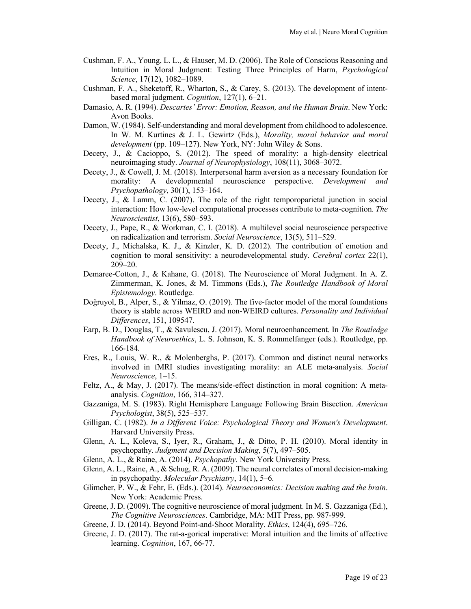- Cushman, F. A., Young, L. L., & Hauser, M. D. (2006). The Role of Conscious Reasoning and Intuition in Moral Judgment: Testing Three Principles of Harm, *Psychological Science*, 17(12), 1082–1089.
- Cushman, F. A., Sheketoff, R., Wharton, S., & Carey, S. (2013). The development of intentbased moral judgment. *Cognition*, 127(1), 6–21.
- Damasio, A. R. (1994). *Descartes' Error: Emotion, Reason, and the Human Brain*. New York: Avon Books.
- Damon, W. (1984). Self-understanding and moral development from childhood to adolescence. In W. M. Kurtines & J. L. Gewirtz (Eds.), *Morality, moral behavior and moral development* (pp. 109–127). New York, NY: John Wiley & Sons.
- Decety, J., & Cacioppo, S. (2012). The speed of morality: a high-density electrical neuroimaging study. *Journal of Neurophysiology*, 108(11), 3068–3072.
- Decety, J., & Cowell, J. M. (2018). Interpersonal harm aversion as a necessary foundation for morality: A developmental neuroscience perspective. *Development and Psychopathology*, 30(1), 153–164.
- Decety, J., & Lamm, C. (2007). The role of the right temporoparietal junction in social interaction: How low-level computational processes contribute to meta-cognition. *The Neuroscientist*, 13(6), 580–593.
- Decety, J., Pape, R., & Workman, C. I. (2018). A multilevel social neuroscience perspective on radicalization and terrorism. *Social Neuroscience*, 13(5), 511–529.
- Decety, J., Michalska, K. J., & Kinzler, K. D. (2012). The contribution of emotion and cognition to moral sensitivity: a neurodevelopmental study. *Cerebral cortex* 22(1), 209–20.
- Demaree-Cotton, J., & Kahane, G. (2018). The Neuroscience of Moral Judgment. In A. Z. Zimmerman, K. Jones, & M. Timmons (Eds.), *The Routledge Handbook of Moral Epistemology*. Routledge.
- Doğruyol, B., Alper, S., & Yilmaz, O. (2019). The five-factor model of the moral foundations theory is stable across WEIRD and non-WEIRD cultures. *Personality and Individual Differences*, 151, 109547.
- Earp, B. D., Douglas, T., & Savulescu, J. (2017). Moral neuroenhancement. In *The Routledge Handbook of Neuroethics*, L. S. Johnson, K. S. Rommelfanger (eds.). Routledge, pp. 166-184.
- Eres, R., Louis, W. R., & Molenberghs, P. (2017). Common and distinct neural networks involved in fMRI studies investigating morality: an ALE meta-analysis. *Social Neuroscience*, 1–15.
- Feltz, A., & May, J. (2017). The means/side-effect distinction in moral cognition: A metaanalysis. *Cognition*, 166, 314–327.
- Gazzaniga, M. S. (1983). Right Hemisphere Language Following Brain Bisection. *American Psychologist*, 38(5), 525–537.
- Gilligan, C. (1982). *In a Different Voice: Psychological Theory and Women's Development*. Harvard University Press.
- Glenn, A. L., Koleva, S., Iyer, R., Graham, J., & Ditto, P. H. (2010). Moral identity in psychopathy. *Judgment and Decision Making*, 5(7), 497–505.
- Glenn, A. L., & Raine, A. (2014). *Psychopathy*. New York University Press.
- Glenn, A. L., Raine, A., & Schug, R. A. (2009). The neural correlates of moral decision-making in psychopathy. *Molecular Psychiatry*, 14(1), 5–6.
- Glimcher, P. W., & Fehr, E. (Eds.). (2014). *Neuroeconomics: Decision making and the brain*. New York: Academic Press.
- Greene, J. D. (2009). The cognitive neuroscience of moral judgment. In M. S. Gazzaniga (Ed.), *The Cognitive Neurosciences*. Cambridge, MA: MIT Press, pp. 987-999.
- Greene, J. D. (2014). Beyond Point-and-Shoot Morality. *Ethics*, 124(4), 695–726.
- Greene, J. D. (2017). The rat-a-gorical imperative: Moral intuition and the limits of affective learning. *Cognition*, 167, 66-77.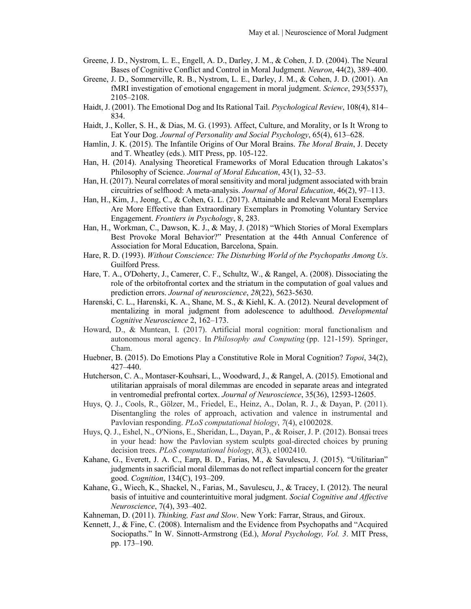- Greene, J. D., Nystrom, L. E., Engell, A. D., Darley, J. M., & Cohen, J. D. (2004). The Neural Bases of Cognitive Conflict and Control in Moral Judgment. *Neuron*, 44(2), 389–400.
- Greene, J. D., Sommerville, R. B., Nystrom, L. E., Darley, J. M., & Cohen, J. D. (2001). An fMRI investigation of emotional engagement in moral judgment. *Science*, 293(5537), 2105–2108.
- Haidt, J. (2001). The Emotional Dog and Its Rational Tail. *Psychological Review*, 108(4), 814– 834.
- Haidt, J., Koller, S. H., & Dias, M. G. (1993). Affect, Culture, and Morality, or Is It Wrong to Eat Your Dog. *Journal of Personality and Social Psychology*, 65(4), 613–628.
- Hamlin, J. K. (2015). The Infantile Origins of Our Moral Brains. *The Moral Brain*, J. Decety and T. Wheatley (eds.). MIT Press, pp. 105-122.
- Han, H. (2014). Analysing Theoretical Frameworks of Moral Education through Lakatos's Philosophy of Science. *Journal of Moral Education*, 43(1), 32–53.
- Han, H. (2017). Neural correlates of moral sensitivity and moral judgment associated with brain circuitries of selfhood: A meta-analysis. *Journal of Moral Education*, 46(2), 97–113.
- Han, H., Kim, J., Jeong, C., & Cohen, G. L. (2017). Attainable and Relevant Moral Exemplars Are More Effective than Extraordinary Exemplars in Promoting Voluntary Service Engagement. *Frontiers in Psychology*, 8, 283.
- Han, H., Workman, C., Dawson, K. J., & May, J. (2018) "Which Stories of Moral Exemplars Best Provoke Moral Behavior?" Presentation at the 44th Annual Conference of Association for Moral Education, Barcelona, Spain.
- Hare, R. D. (1993). *Without Conscience: The Disturbing World of the Psychopaths Among Us*. Guilford Press.
- Hare, T. A., O'Doherty, J., Camerer, C. F., Schultz, W., & Rangel, A. (2008). Dissociating the role of the orbitofrontal cortex and the striatum in the computation of goal values and prediction errors. *Journal of neuroscience*, *28*(22), 5623-5630.
- Harenski, C. L., Harenski, K. A., Shane, M. S., & Kiehl, K. A. (2012). Neural development of mentalizing in moral judgment from adolescence to adulthood. *Developmental Cognitive Neuroscience* 2, 162–173.
- Howard, D., & Muntean, I. (2017). Artificial moral cognition: moral functionalism and autonomous moral agency. In *Philosophy and Computing* (pp. 121-159). Springer, Cham.
- Huebner, B. (2015). Do Emotions Play a Constitutive Role in Moral Cognition? *Topoi*, 34(2), 427–440.
- Hutcherson, C. A., Montaser-Kouhsari, L., Woodward, J., & Rangel, A. (2015). Emotional and utilitarian appraisals of moral dilemmas are encoded in separate areas and integrated in ventromedial prefrontal cortex. *Journal of Neuroscience*, 35(36), 12593-12605.
- Huys, Q. J., Cools, R., Gölzer, M., Friedel, E., Heinz, A., Dolan, R. J., & Dayan, P. (2011). Disentangling the roles of approach, activation and valence in instrumental and Pavlovian responding. *PLoS computational biology*, *7*(4), e1002028.
- Huys, Q. J., Eshel, N., O'Nions, E., Sheridan, L., Dayan, P., & Roiser, J. P. (2012). Bonsai trees in your head: how the Pavlovian system sculpts goal-directed choices by pruning decision trees. *PLoS computational biology*, *8*(3), e1002410.
- Kahane, G., Everett, J. A. C., Earp, B. D., Farias, M., & Savulescu, J. (2015). "Utilitarian" judgments in sacrificial moral dilemmas do not reflect impartial concern for the greater good. *Cognition*, 134(C), 193–209.
- Kahane, G., Wiech, K., Shackel, N., Farias, M., Savulescu, J., & Tracey, I. (2012). The neural basis of intuitive and counterintuitive moral judgment. *Social Cognitive and Affective Neuroscience*, 7(4), 393–402.
- Kahneman, D. (2011). *Thinking, Fast and Slow*. New York: Farrar, Straus, and Giroux.
- Kennett, J., & Fine, C. (2008). Internalism and the Evidence from Psychopaths and "Acquired Sociopaths." In W. Sinnott-Armstrong (Ed.), *Moral Psychology, Vol. 3*. MIT Press, pp. 173–190.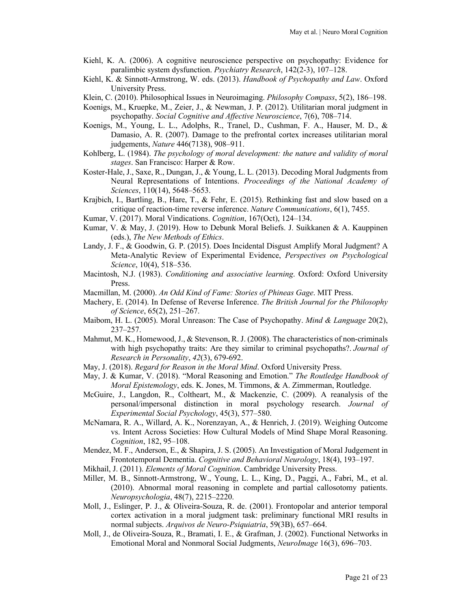- Kiehl, K. A. (2006). A cognitive neuroscience perspective on psychopathy: Evidence for paralimbic system dysfunction. *Psychiatry Research*, 142(2-3), 107–128.
- Kiehl, K. & Sinnott-Armstrong, W. eds. (2013). *Handbook of Psychopathy and Law*. Oxford University Press.
- Klein, C. (2010). Philosophical Issues in Neuroimaging. *Philosophy Compass*, 5(2), 186–198.
- Koenigs, M., Kruepke, M., Zeier, J., & Newman, J. P. (2012). Utilitarian moral judgment in psychopathy. *Social Cognitive and Affective Neuroscience*, 7(6), 708–714.
- Koenigs, M., Young, L. L., Adolphs, R., Tranel, D., Cushman, F. A., Hauser, M. D., & Damasio, A. R. (2007). Damage to the prefrontal cortex increases utilitarian moral judgements, *Nature* 446(7138), 908–911.
- Kohlberg, L. (1984). *The psychology of moral development: the nature and validity of moral stages*. San Francisco: Harper & Row.
- Koster-Hale, J., Saxe, R., Dungan, J., & Young, L. L. (2013). Decoding Moral Judgments from Neural Representations of Intentions. *Proceedings of the National Academy of Sciences*, 110(14), 5648–5653.
- Krajbich, I., Bartling, B., Hare, T., & Fehr, E. (2015). Rethinking fast and slow based on a critique of reaction-time reverse inference. *Nature Communications*, 6(1), 7455.
- Kumar, V. (2017). Moral Vindications. *Cognition*, 167(Oct), 124–134.
- Kumar, V. & May, J. (2019). How to Debunk Moral Beliefs. J. Suikkanen & A. Kauppinen (eds.), *The New Methods of Ethics*.
- Landy, J. F., & Goodwin, G. P. (2015). Does Incidental Disgust Amplify Moral Judgment? A Meta-Analytic Review of Experimental Evidence, *Perspectives on Psychological Science*, 10(4), 518–536.
- Macintosh, N.J. (1983). *Conditioning and associative learning*. Oxford: Oxford University Press.
- Macmillan, M. (2000). *An Odd Kind of Fame: Stories of Phineas Gage*. MIT Press.
- Machery, E. (2014). In Defense of Reverse Inference. *The British Journal for the Philosophy of Science*, 65(2), 251–267.
- Maibom, H. L. (2005). Moral Unreason: The Case of Psychopathy. *Mind & Language* 20(2), 237–257.
- Mahmut, M. K., Homewood, J., & Stevenson, R. J. (2008). The characteristics of non-criminals with high psychopathy traits: Are they similar to criminal psychopaths?. *Journal of Research in Personality*, *42*(3), 679-692.
- May, J. (2018). *Regard for Reason in the Moral Mind*. Oxford University Press.
- May, J. & Kumar, V. (2018). "Moral Reasoning and Emotion." *The Routledge Handbook of Moral Epistemology*, eds. K. Jones, M. Timmons, & A. Zimmerman, Routledge.
- McGuire, J., Langdon, R., Coltheart, M., & Mackenzie, C. (2009). A reanalysis of the personal/impersonal distinction in moral psychology research. *Journal of Experimental Social Psychology*, 45(3), 577–580.
- McNamara, R. A., Willard, A. K., Norenzayan, A., & Henrich, J. (2019). Weighing Outcome vs. Intent Across Societies: How Cultural Models of Mind Shape Moral Reasoning. *Cognition*, 182, 95–108.
- Mendez, M. F., Anderson, E., & Shapira, J. S. (2005). An Investigation of Moral Judgement in Frontotemporal Dementia. *Cognitive and Behavioral Neurology*, 18(4), 193–197.
- Mikhail, J. (2011). *Elements of Moral Cognition*. Cambridge University Press.
- Miller, M. B., Sinnott-Armstrong, W., Young, L. L., King, D., Paggi, A., Fabri, M., et al. (2010). Abnormal moral reasoning in complete and partial callosotomy patients. *Neuropsychologia*, 48(7), 2215–2220.
- Moll, J., Eslinger, P. J., & Oliveira-Souza, R. de. (2001). Frontopolar and anterior temporal cortex activation in a moral judgment task: preliminary functional MRI results in normal subjects. *Arquivos de Neuro-Psiquiatria*, 59(3B), 657–664.
- Moll, J., de Oliveira-Souza, R., Bramati, I. E., & Grafman, J. (2002). Functional Networks in Emotional Moral and Nonmoral Social Judgments, *NeuroImage* 16(3), 696–703.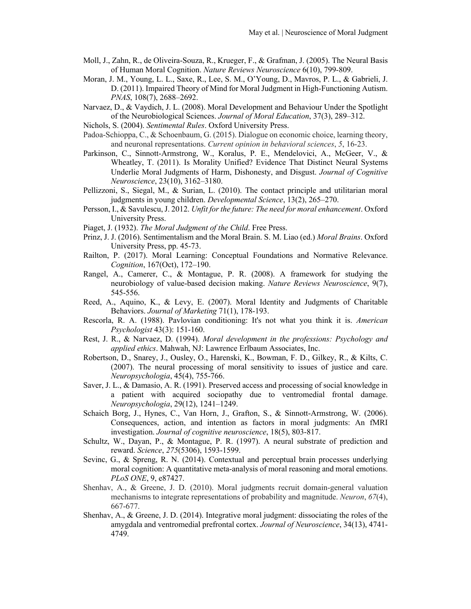- Moll, J., Zahn, R., de Oliveira-Souza, R., Krueger, F., & Grafman, J. (2005). The Neural Basis of Human Moral Cognition. *Nature Reviews Neuroscience* 6(10), 799-809.
- Moran, J. M., Young, L. L., Saxe, R., Lee, S. M., O'Young, D., Mavros, P. L., & Gabrieli, J. D. (2011). Impaired Theory of Mind for Moral Judgment in High-Functioning Autism. *PNAS*, 108(7), 2688–2692.
- Narvaez, D., & Vaydich, J. L. (2008). Moral Development and Behaviour Under the Spotlight of the Neurobiological Sciences. *Journal of Moral Education*, 37(3), 289–312.
- Nichols, S. (2004). *Sentimental Rules*. Oxford University Press.
- Padoa-Schioppa, C., & Schoenbaum, G. (2015). Dialogue on economic choice, learning theory, and neuronal representations. *Current opinion in behavioral sciences*, *5*, 16-23.
- Parkinson, C., Sinnott-Armstrong, W., Koralus, P. E., Mendelovici, A., McGeer, V., & Wheatley, T. (2011). Is Morality Unified? Evidence That Distinct Neural Systems Underlie Moral Judgments of Harm, Dishonesty, and Disgust. *Journal of Cognitive Neuroscience*, 23(10), 3162–3180.
- Pellizzoni, S., Siegal, M., & Surian, L. (2010). The contact principle and utilitarian moral judgments in young children. *Developmental Science*, 13(2), 265–270.
- Persson, I., & Savulescu, J. 2012. *Unfit for the future: The need for moral enhancement*. Oxford University Press.
- Piaget, J. (1932). *The Moral Judgment of the Child*. Free Press.
- Prinz, J. J. (2016). Sentimentalism and the Moral Brain. S. M. Liao (ed.) *Moral Brains*. Oxford University Press, pp. 45-73.
- Railton, P. (2017). Moral Learning: Conceptual Foundations and Normative Relevance. *Cognition*, 167(Oct), 172–190.
- Rangel, A., Camerer, C., & Montague, P. R. (2008). A framework for studying the neurobiology of value-based decision making. *Nature Reviews Neuroscience*, 9(7), 545-556.
- Reed, A., Aquino, K., & Levy, E. (2007). Moral Identity and Judgments of Charitable Behaviors. *Journal of Marketing* 71(1), 178-193.
- Rescorla, R. A. (1988). Pavlovian conditioning: It's not what you think it is. *American Psychologist* 43(3): 151-160.
- Rest, J. R., & Narvaez, D. (1994). *Moral development in the professions: Psychology and applied ethics*. Mahwah, NJ: Lawrence Erlbaum Associates, Inc.
- Robertson, D., Snarey, J., Ousley, O., Harenski, K., Bowman, F. D., Gilkey, R., & Kilts, C. (2007). The neural processing of moral sensitivity to issues of justice and care. *Neuropsychologia*, 45(4), 755-766.
- Saver, J. L., & Damasio, A. R. (1991). Preserved access and processing of social knowledge in a patient with acquired sociopathy due to ventromedial frontal damage. *Neuropsychologia*, 29(12), 1241–1249.
- Schaich Borg, J., Hynes, C., Van Horn, J., Grafton, S., & Sinnott-Armstrong, W. (2006). Consequences, action, and intention as factors in moral judgments: An fMRI investigation. *Journal of cognitive neuroscience*, 18(5), 803-817.
- Schultz, W., Dayan, P., & Montague, P. R. (1997). A neural substrate of prediction and reward. *Science*, *275*(5306), 1593-1599.
- Sevinc, G., & Spreng, R. N. (2014). Contextual and perceptual brain processes underlying moral cognition: A quantitative meta-analysis of moral reasoning and moral emotions. *PLoS ONE*, 9, e87427.
- Shenhav, A., & Greene, J. D. (2010). Moral judgments recruit domain-general valuation mechanisms to integrate representations of probability and magnitude. *Neuron*, *67*(4), 667-677.
- Shenhav, A., & Greene, J. D. (2014). Integrative moral judgment: dissociating the roles of the amygdala and ventromedial prefrontal cortex. *Journal of Neuroscience*, 34(13), 4741- 4749.